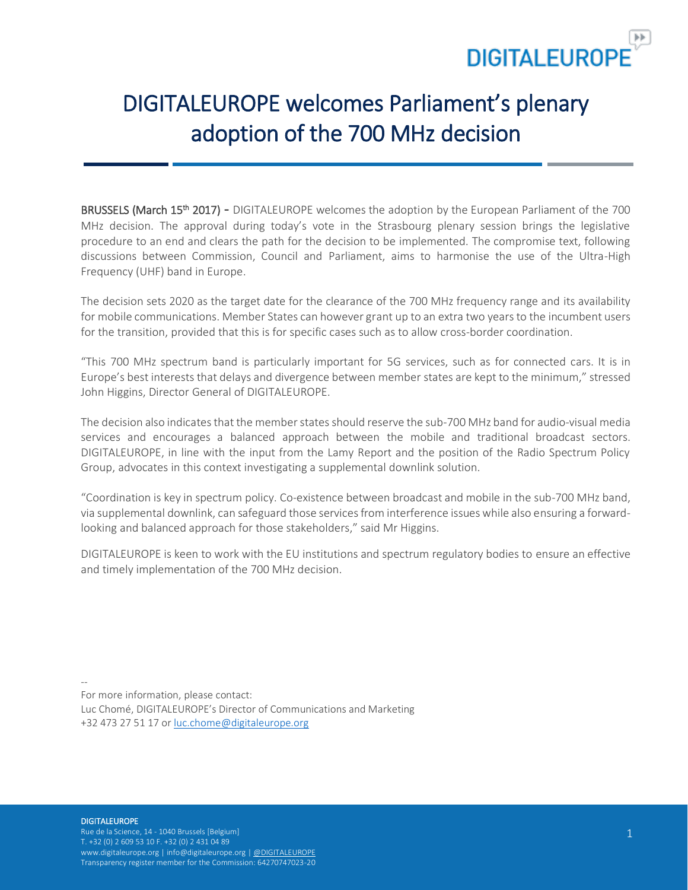

# DIGITALEUROPE welcomes Parliament's plenary adoption of the 700 MHz decision

BRUSSELS (March 15<sup>th</sup> 2017) - DIGITALEUROPE welcomes the adoption by the European Parliament of the 700 MHz decision. The approval during today's vote in the Strasbourg plenary session brings the legislative procedure to an end and clears the path for the decision to be implemented. The compromise text, following discussions between Commission, Council and Parliament, aims to harmonise the use of the Ultra-High Frequency (UHF) band in Europe.

The decision sets 2020 as the target date for the clearance of the 700 MHz frequency range and its availability for mobile communications. Member States can however grant up to an extra two years to the incumbent users for the transition, provided that this is for specific cases such as to allow cross-border coordination.

"This 700 MHz spectrum band is particularly important for 5G services, such as for connected cars. It is in Europe's best interests that delays and divergence between member states are kept to the minimum," stressed John Higgins, Director General of DIGITALEUROPE.

The decision also indicates that the member states should reserve the sub-700 MHz band for audio-visual media services and encourages a balanced approach between the mobile and traditional broadcast sectors. DIGITALEUROPE, in line with the input from the Lamy Report and the position of the Radio Spectrum Policy Group, advocates in this context investigating a supplemental downlink solution.

"Coordination is key in spectrum policy. Co-existence between broadcast and mobile in the sub-700 MHz band, via supplemental downlink, can safeguard those services from interference issues while also ensuring a forwardlooking and balanced approach for those stakeholders," said Mr Higgins.

DIGITALEUROPE is keen to work with the EU institutions and spectrum regulatory bodies to ensure an effective and timely implementation of the 700 MHz decision.

--

For more information, please contact:

Luc Chomé, DIGITALEUROPE's Director of Communications and Marketing +32 473 27 51 17 or [luc.chome@digitaleurope.org](mailto:luc.chome@digitaleurope.org)

#### **DIGITALEUROPE**